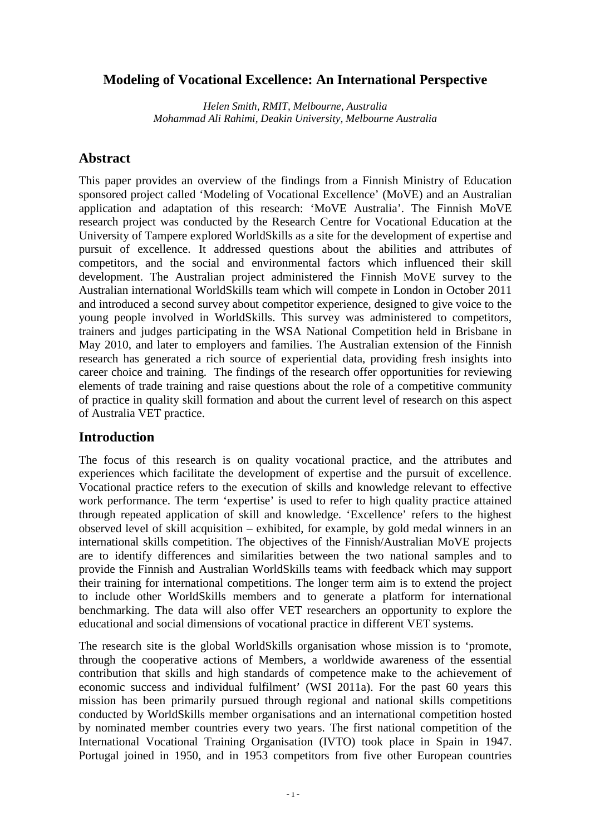## **Modeling of Vocational Excellence: An International Perspective**

*Helen Smith, RMIT, Melbourne, Australia Mohammad Ali Rahimi, Deakin University, Melbourne Australia* 

## **Abstract**

This paper provides an overview of the findings from a Finnish Ministry of Education sponsored project called 'Modeling of Vocational Excellence' (MoVE) and an Australian application and adaptation of this research: 'MoVE Australia'. The Finnish MoVE research project was conducted by the Research Centre for Vocational Education at the University of Tampere explored WorldSkills as a site for the development of expertise and pursuit of excellence. It addressed questions about the abilities and attributes of competitors, and the social and environmental factors which influenced their skill development. The Australian project administered the Finnish MoVE survey to the Australian international WorldSkills team which will compete in London in October 2011 and introduced a second survey about competitor experience, designed to give voice to the young people involved in WorldSkills. This survey was administered to competitors, trainers and judges participating in the WSA National Competition held in Brisbane in May 2010, and later to employers and families. The Australian extension of the Finnish research has generated a rich source of experiential data, providing fresh insights into career choice and training. The findings of the research offer opportunities for reviewing elements of trade training and raise questions about the role of a competitive community of practice in quality skill formation and about the current level of research on this aspect of Australia VET practice.

## **Introduction**

The focus of this research is on quality vocational practice, and the attributes and experiences which facilitate the development of expertise and the pursuit of excellence. Vocational practice refers to the execution of skills and knowledge relevant to effective work performance. The term 'expertise' is used to refer to high quality practice attained through repeated application of skill and knowledge. 'Excellence' refers to the highest observed level of skill acquisition – exhibited, for example, by gold medal winners in an international skills competition. The objectives of the Finnish/Australian MoVE projects are to identify differences and similarities between the two national samples and to provide the Finnish and Australian WorldSkills teams with feedback which may support their training for international competitions. The longer term aim is to extend the project to include other WorldSkills members and to generate a platform for international benchmarking. The data will also offer VET researchers an opportunity to explore the educational and social dimensions of vocational practice in different VET systems.

The research site is the global WorldSkills organisation whose mission is to 'promote, through the cooperative actions of Members, a worldwide awareness of the essential contribution that skills and high standards of competence make to the achievement of economic success and individual fulfilment' (WSI 2011a). For the past 60 years this mission has been primarily pursued through regional and national skills competitions conducted by WorldSkills member organisations and an international competition hosted by nominated member countries every two years. The first national competition of the International Vocational Training Organisation (IVTO) took place in Spain in 1947. Portugal joined in 1950, and in 1953 competitors from five other European countries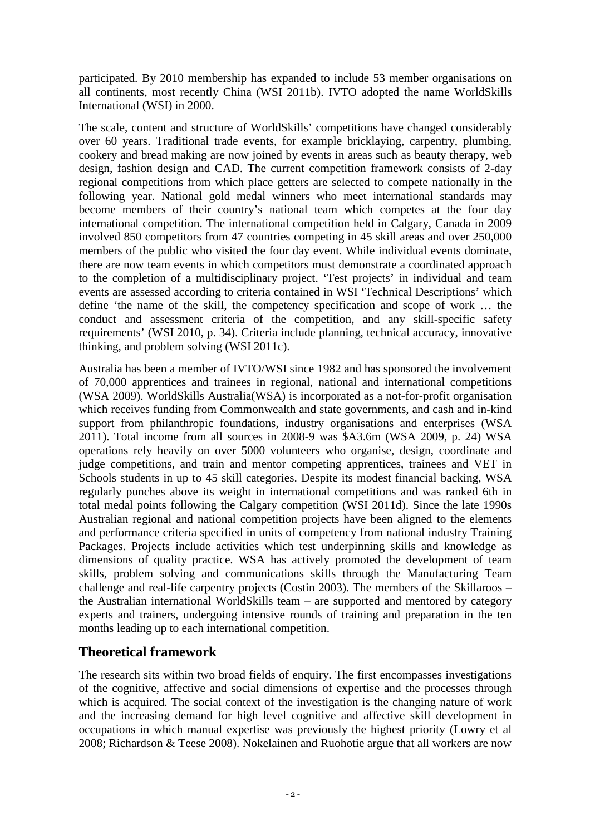participated. By 2010 membership has expanded to include 53 member organisations on all continents, most recently China (WSI 2011b). IVTO adopted the name WorldSkills International (WSI) in 2000.

The scale, content and structure of WorldSkills' competitions have changed considerably over 60 years. Traditional trade events, for example bricklaying, carpentry, plumbing, cookery and bread making are now joined by events in areas such as beauty therapy, web design, fashion design and CAD. The current competition framework consists of 2-day regional competitions from which place getters are selected to compete nationally in the following year. National gold medal winners who meet international standards may become members of their country's national team which competes at the four day international competition. The international competition held in Calgary, Canada in 2009 involved 850 competitors from 47 countries competing in 45 skill areas and over 250,000 members of the public who visited the four day event. While individual events dominate, there are now team events in which competitors must demonstrate a coordinated approach to the completion of a multidisciplinary project. 'Test projects' in individual and team events are assessed according to criteria contained in WSI 'Technical Descriptions' which define 'the name of the skill, the competency specification and scope of work … the conduct and assessment criteria of the competition, and any skill-specific safety requirements' (WSI 2010, p. 34). Criteria include planning, technical accuracy, innovative thinking, and problem solving (WSI 2011c).

Australia has been a member of IVTO/WSI since 1982 and has sponsored the involvement of 70,000 apprentices and trainees in regional, national and international competitions (WSA 2009). WorldSkills Australia(WSA) is incorporated as a not-for-profit organisation which receives funding from Commonwealth and state governments, and cash and in-kind support from philanthropic foundations, industry organisations and enterprises (WSA 2011). Total income from all sources in 2008-9 was \$A3.6m (WSA 2009, p. 24) WSA operations rely heavily on over 5000 volunteers who organise, design, coordinate and judge competitions, and train and mentor competing apprentices, trainees and VET in Schools students in up to 45 skill categories. Despite its modest financial backing, WSA regularly punches above its weight in international competitions and was ranked 6th in total medal points following the Calgary competition (WSI 2011d). Since the late 1990s Australian regional and national competition projects have been aligned to the elements and performance criteria specified in units of competency from national industry Training Packages. Projects include activities which test underpinning skills and knowledge as dimensions of quality practice. WSA has actively promoted the development of team skills, problem solving and communications skills through the Manufacturing Team challenge and real-life carpentry projects (Costin 2003). The members of the Skillaroos – the Australian international WorldSkills team – are supported and mentored by category experts and trainers, undergoing intensive rounds of training and preparation in the ten months leading up to each international competition.

# **Theoretical framework**

The research sits within two broad fields of enquiry. The first encompasses investigations of the cognitive, affective and social dimensions of expertise and the processes through which is acquired. The social context of the investigation is the changing nature of work and the increasing demand for high level cognitive and affective skill development in occupations in which manual expertise was previously the highest priority (Lowry et al 2008; Richardson & Teese 2008). Nokelainen and Ruohotie argue that all workers are now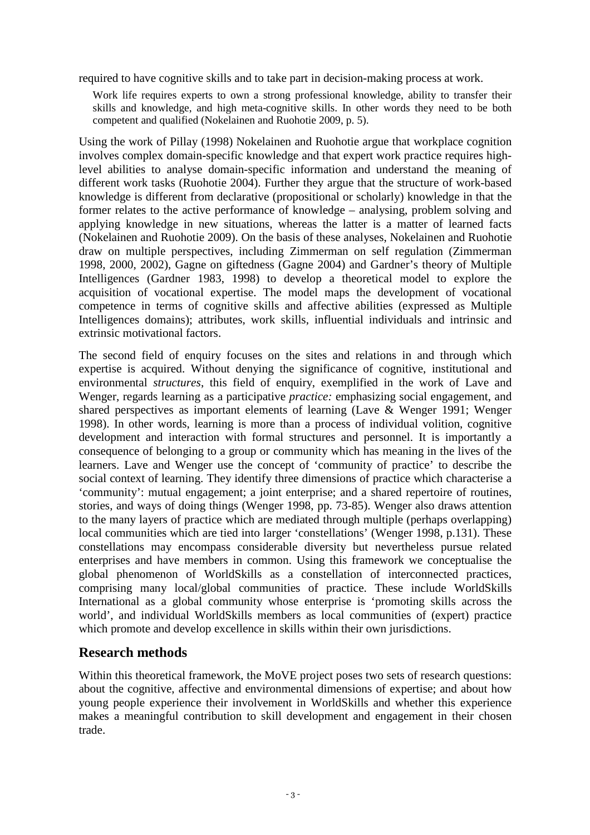required to have cognitive skills and to take part in decision-making process at work.

Work life requires experts to own a strong professional knowledge, ability to transfer their skills and knowledge, and high meta-cognitive skills. In other words they need to be both competent and qualified (Nokelainen and Ruohotie 2009, p. 5).

Using the work of Pillay (1998) Nokelainen and Ruohotie argue that workplace cognition involves complex domain-specific knowledge and that expert work practice requires highlevel abilities to analyse domain-specific information and understand the meaning of different work tasks (Ruohotie 2004). Further they argue that the structure of work-based knowledge is different from declarative (propositional or scholarly) knowledge in that the former relates to the active performance of knowledge – analysing, problem solving and applying knowledge in new situations, whereas the latter is a matter of learned facts (Nokelainen and Ruohotie 2009). On the basis of these analyses, Nokelainen and Ruohotie draw on multiple perspectives, including Zimmerman on self regulation (Zimmerman 1998, 2000, 2002), Gagne on giftedness (Gagne 2004) and Gardner's theory of Multiple Intelligences (Gardner 1983, 1998) to develop a theoretical model to explore the acquisition of vocational expertise. The model maps the development of vocational competence in terms of cognitive skills and affective abilities (expressed as Multiple Intelligences domains); attributes, work skills, influential individuals and intrinsic and extrinsic motivational factors.

The second field of enquiry focuses on the sites and relations in and through which expertise is acquired. Without denying the significance of cognitive, institutional and environmental *structures*, this field of enquiry, exemplified in the work of Lave and Wenger, regards learning as a participative *practice:* emphasizing social engagement, and shared perspectives as important elements of learning (Lave & Wenger 1991; Wenger 1998). In other words, learning is more than a process of individual volition, cognitive development and interaction with formal structures and personnel. It is importantly a consequence of belonging to a group or community which has meaning in the lives of the learners. Lave and Wenger use the concept of 'community of practice' to describe the social context of learning. They identify three dimensions of practice which characterise a 'community': mutual engagement; a joint enterprise; and a shared repertoire of routines, stories, and ways of doing things (Wenger 1998, pp. 73-85). Wenger also draws attention to the many layers of practice which are mediated through multiple (perhaps overlapping) local communities which are tied into larger 'constellations' (Wenger 1998, p.131). These constellations may encompass considerable diversity but nevertheless pursue related enterprises and have members in common. Using this framework we conceptualise the global phenomenon of WorldSkills as a constellation of interconnected practices, comprising many local/global communities of practice. These include WorldSkills International as a global community whose enterprise is 'promoting skills across the world', and individual WorldSkills members as local communities of (expert) practice which promote and develop excellence in skills within their own jurisdictions.

## **Research methods**

Within this theoretical framework, the MoVE project poses two sets of research questions: about the cognitive, affective and environmental dimensions of expertise; and about how young people experience their involvement in WorldSkills and whether this experience makes a meaningful contribution to skill development and engagement in their chosen trade.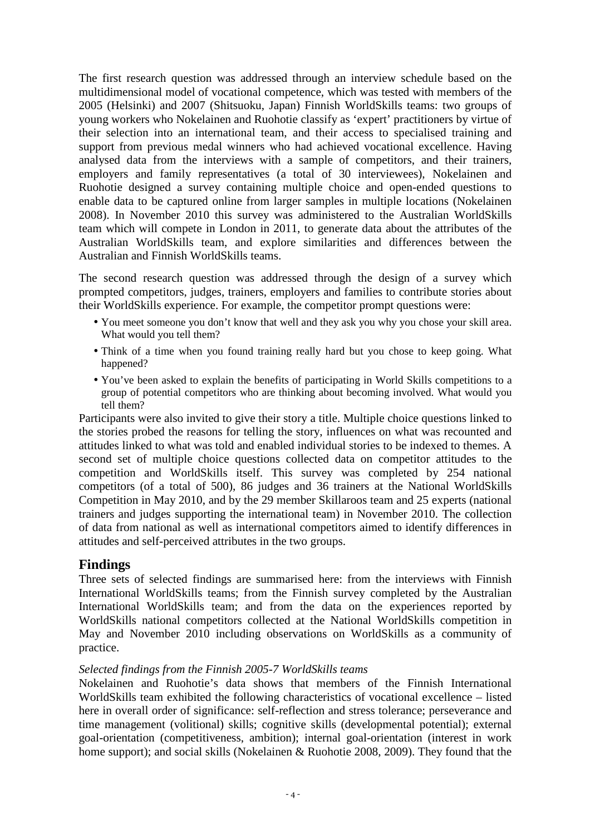The first research question was addressed through an interview schedule based on the multidimensional model of vocational competence, which was tested with members of the 2005 (Helsinki) and 2007 (Shitsuoku, Japan) Finnish WorldSkills teams: two groups of young workers who Nokelainen and Ruohotie classify as 'expert' practitioners by virtue of their selection into an international team, and their access to specialised training and support from previous medal winners who had achieved vocational excellence. Having analysed data from the interviews with a sample of competitors, and their trainers, employers and family representatives (a total of 30 interviewees), Nokelainen and Ruohotie designed a survey containing multiple choice and open-ended questions to enable data to be captured online from larger samples in multiple locations (Nokelainen 2008). In November 2010 this survey was administered to the Australian WorldSkills team which will compete in London in 2011, to generate data about the attributes of the Australian WorldSkills team, and explore similarities and differences between the Australian and Finnish WorldSkills teams.

The second research question was addressed through the design of a survey which prompted competitors, judges, trainers, employers and families to contribute stories about their WorldSkills experience. For example, the competitor prompt questions were:

- You meet someone you don't know that well and they ask you why you chose your skill area. What would you tell them?
- Think of a time when you found training really hard but you chose to keep going. What happened?
- You've been asked to explain the benefits of participating in World Skills competitions to a group of potential competitors who are thinking about becoming involved. What would you tell them?

Participants were also invited to give their story a title. Multiple choice questions linked to the stories probed the reasons for telling the story, influences on what was recounted and attitudes linked to what was told and enabled individual stories to be indexed to themes. A second set of multiple choice questions collected data on competitor attitudes to the competition and WorldSkills itself. This survey was completed by 254 national competitors (of a total of 500), 86 judges and 36 trainers at the National WorldSkills Competition in May 2010, and by the 29 member Skillaroos team and 25 experts (national trainers and judges supporting the international team) in November 2010. The collection of data from national as well as international competitors aimed to identify differences in attitudes and self-perceived attributes in the two groups.

## **Findings**

Three sets of selected findings are summarised here: from the interviews with Finnish International WorldSkills teams; from the Finnish survey completed by the Australian International WorldSkills team; and from the data on the experiences reported by WorldSkills national competitors collected at the National WorldSkills competition in May and November 2010 including observations on WorldSkills as a community of practice.

### *Selected findings from the Finnish 2005-7 WorldSkills teams*

Nokelainen and Ruohotie's data shows that members of the Finnish International WorldSkills team exhibited the following characteristics of vocational excellence – listed here in overall order of significance: self-reflection and stress tolerance; perseverance and time management (volitional) skills; cognitive skills (developmental potential); external goal-orientation (competitiveness, ambition); internal goal-orientation (interest in work home support); and social skills (Nokelainen & Ruohotie 2008, 2009). They found that the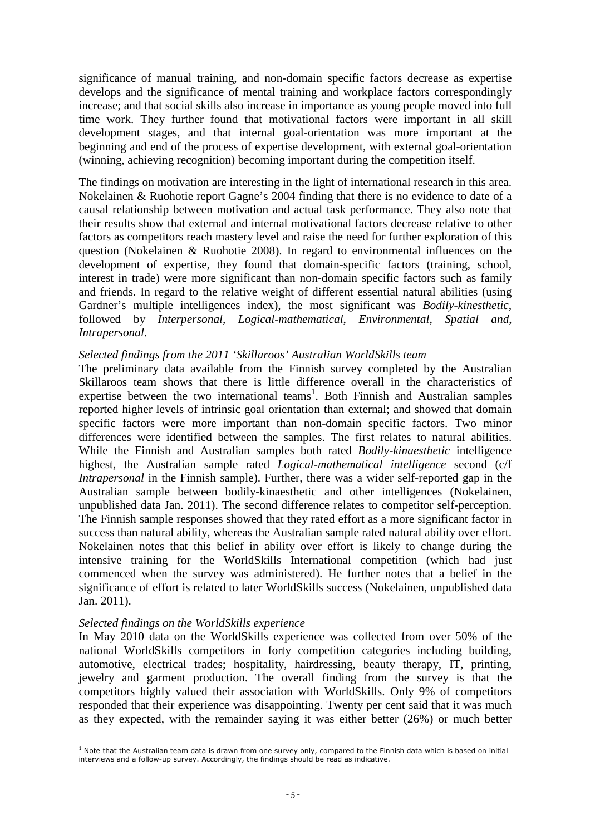significance of manual training, and non-domain specific factors decrease as expertise develops and the significance of mental training and workplace factors correspondingly increase; and that social skills also increase in importance as young people moved into full time work. They further found that motivational factors were important in all skill development stages, and that internal goal-orientation was more important at the beginning and end of the process of expertise development, with external goal-orientation (winning, achieving recognition) becoming important during the competition itself.

The findings on motivation are interesting in the light of international research in this area. Nokelainen & Ruohotie report Gagne's 2004 finding that there is no evidence to date of a causal relationship between motivation and actual task performance. They also note that their results show that external and internal motivational factors decrease relative to other factors as competitors reach mastery level and raise the need for further exploration of this question (Nokelainen & Ruohotie 2008). In regard to environmental influences on the development of expertise, they found that domain-specific factors (training, school, interest in trade) were more significant than non-domain specific factors such as family and friends. In regard to the relative weight of different essential natural abilities (using Gardner's multiple intelligences index), the most significant was *Bodily-kinesthetic*, followed by *Interpersonal, Logical-mathematical*, *Environmental, Spatial and*, *Intrapersonal*.

#### *Selected findings from the 2011 'Skillaroos' Australian WorldSkills team*

The preliminary data available from the Finnish survey completed by the Australian Skillaroos team shows that there is little difference overall in the characteristics of expertise between the two international teams<sup>1</sup>. Both Finnish and Australian samples reported higher levels of intrinsic goal orientation than external; and showed that domain specific factors were more important than non-domain specific factors. Two minor differences were identified between the samples. The first relates to natural abilities. While the Finnish and Australian samples both rated *Bodily-kinaesthetic* intelligence highest, the Australian sample rated *Logical-mathematical intelligence* second (c/f *Intrapersonal* in the Finnish sample). Further, there was a wider self-reported gap in the Australian sample between bodily-kinaesthetic and other intelligences (Nokelainen, unpublished data Jan. 2011). The second difference relates to competitor self-perception. The Finnish sample responses showed that they rated effort as a more significant factor in success than natural ability, whereas the Australian sample rated natural ability over effort. Nokelainen notes that this belief in ability over effort is likely to change during the intensive training for the WorldSkills International competition (which had just commenced when the survey was administered). He further notes that a belief in the significance of effort is related to later WorldSkills success (Nokelainen, unpublished data Jan. 2011).

### *Selected findings on the WorldSkills experience*

In May 2010 data on the WorldSkills experience was collected from over 50% of the national WorldSkills competitors in forty competition categories including building, automotive, electrical trades; hospitality, hairdressing, beauty therapy, IT, printing, jewelry and garment production. The overall finding from the survey is that the competitors highly valued their association with WorldSkills. Only 9% of competitors responded that their experience was disappointing. Twenty per cent said that it was much as they expected, with the remainder saying it was either better (26%) or much better

 $\overline{a}$ <sup>1</sup> Note that the Australian team data is drawn from one survey only, compared to the Finnish data which is based on initial interviews and a follow-up survey. Accordingly, the findings should be read as indicative.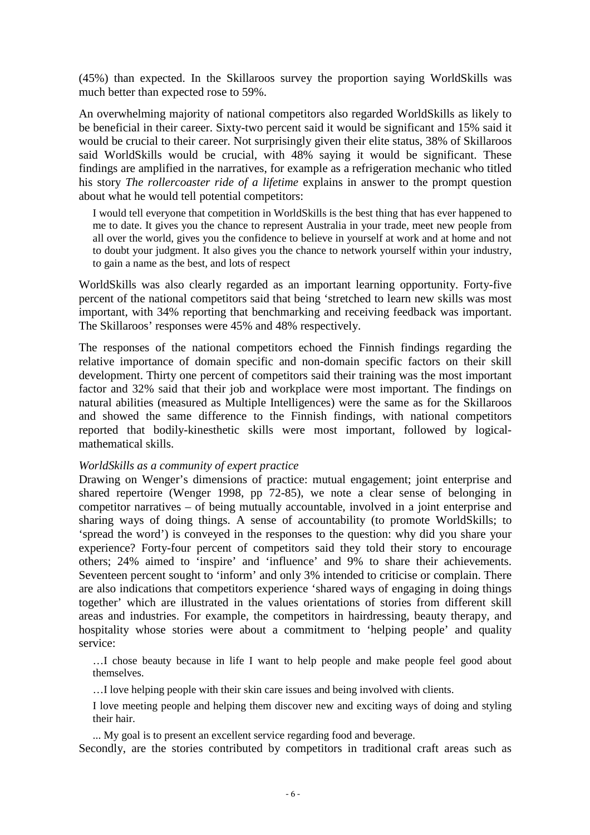(45%) than expected. In the Skillaroos survey the proportion saying WorldSkills was much better than expected rose to 59%.

An overwhelming majority of national competitors also regarded WorldSkills as likely to be beneficial in their career. Sixty-two percent said it would be significant and 15% said it would be crucial to their career. Not surprisingly given their elite status, 38% of Skillaroos said WorldSkills would be crucial, with 48% saying it would be significant. These findings are amplified in the narratives, for example as a refrigeration mechanic who titled his story *The rollercoaster ride of a lifetime* explains in answer to the prompt question about what he would tell potential competitors:

I would tell everyone that competition in WorldSkills is the best thing that has ever happened to me to date. It gives you the chance to represent Australia in your trade, meet new people from all over the world, gives you the confidence to believe in yourself at work and at home and not to doubt your judgment. It also gives you the chance to network yourself within your industry, to gain a name as the best, and lots of respect

WorldSkills was also clearly regarded as an important learning opportunity. Forty-five percent of the national competitors said that being 'stretched to learn new skills was most important, with 34% reporting that benchmarking and receiving feedback was important. The Skillaroos' responses were 45% and 48% respectively.

The responses of the national competitors echoed the Finnish findings regarding the relative importance of domain specific and non-domain specific factors on their skill development. Thirty one percent of competitors said their training was the most important factor and 32% said that their job and workplace were most important. The findings on natural abilities (measured as Multiple Intelligences) were the same as for the Skillaroos and showed the same difference to the Finnish findings, with national competitors reported that bodily-kinesthetic skills were most important, followed by logicalmathematical skills.

#### *WorldSkills as a community of expert practice*

Drawing on Wenger's dimensions of practice: mutual engagement; joint enterprise and shared repertoire (Wenger 1998, pp 72-85), we note a clear sense of belonging in competitor narratives – of being mutually accountable, involved in a joint enterprise and sharing ways of doing things. A sense of accountability (to promote WorldSkills; to 'spread the word') is conveyed in the responses to the question: why did you share your experience? Forty-four percent of competitors said they told their story to encourage others; 24% aimed to 'inspire' and 'influence' and 9% to share their achievements. Seventeen percent sought to 'inform' and only 3% intended to criticise or complain. There are also indications that competitors experience 'shared ways of engaging in doing things together' which are illustrated in the values orientations of stories from different skill areas and industries. For example, the competitors in hairdressing, beauty therapy, and hospitality whose stories were about a commitment to 'helping people' and quality service:

…I chose beauty because in life I want to help people and make people feel good about themselves.

…I love helping people with their skin care issues and being involved with clients.

I love meeting people and helping them discover new and exciting ways of doing and styling their hair.

... My goal is to present an excellent service regarding food and beverage.

Secondly, are the stories contributed by competitors in traditional craft areas such as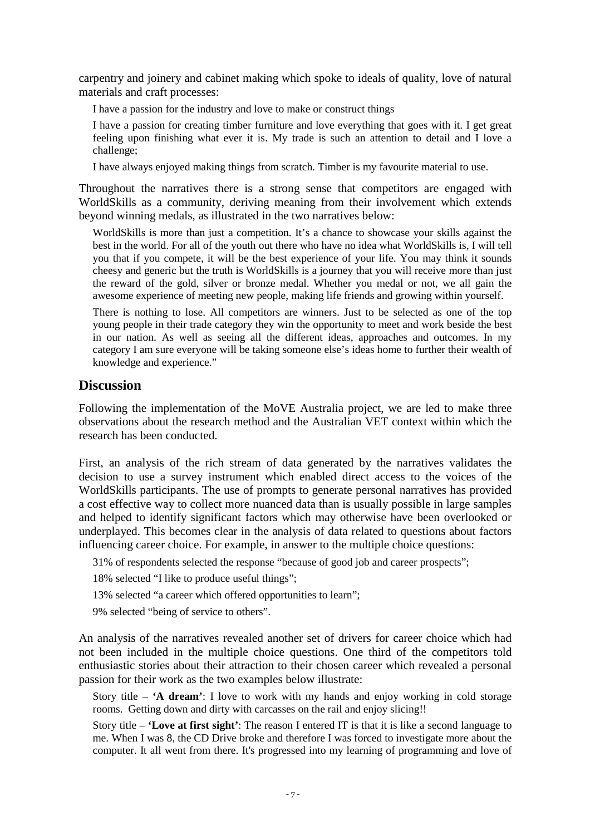carpentry and joinery and cabinet making which spoke to ideals of quality, love of natural materials and craft processes:

I have a passion for the industry and love to make or construct things

I have a passion for creating timber furniture and love everything that goes with it. I get great feeling upon finishing what ever it is. My trade is such an attention to detail and I love a challenge;

I have always enjoyed making things from scratch. Timber is my favourite material to use.

Throughout the narratives there is a strong sense that competitors are engaged with WorldSkills as a community, deriving meaning from their involvement which extends beyond winning medals, as illustrated in the two narratives below:

WorldSkills is more than just a competition. It's a chance to showcase your skills against the best in the world. For all of the youth out there who have no idea what WorldSkills is, I will tell you that if you compete, it will be the best experience of your life. You may think it sounds cheesy and generic but the truth is WorldSkills is a journey that you will receive more than just the reward of the gold, silver or bronze medal. Whether you medal or not, we all gain the awesome experience of meeting new people, making life friends and growing within yourself.

There is nothing to lose. All competitors are winners. Just to be selected as one of the top young people in their trade category they win the opportunity to meet and work beside the best in our nation. As well as seeing all the different ideas, approaches and outcomes. In my category I am sure everyone will be taking someone else's ideas home to further their wealth of knowledge and experience."

### **Discussion**

Following the implementation of the MoVE Australia project, we are led to make three observations about the research method and the Australian VET context within which the research has been conducted.

First, an analysis of the rich stream of data generated by the narratives validates the decision to use a survey instrument which enabled direct access to the voices of the WorldSkills participants. The use of prompts to generate personal narratives has provided a cost effective way to collect more nuanced data than is usually possible in large samples and helped to identify significant factors which may otherwise have been overlooked or underplayed. This becomes clear in the analysis of data related to questions about factors influencing career choice. For example, in answer to the multiple choice questions:

31% of respondents selected the response "because of good job and career prospects";

18% selected "I like to produce useful things";

13% selected "a career which offered opportunities to learn";

9% selected "being of service to others".

An analysis of the narratives revealed another set of drivers for career choice which had not been included in the multiple choice questions. One third of the competitors told enthusiastic stories about their attraction to their chosen career which revealed a personal passion for their work as the two examples below illustrate:

Story title – **'A dream'**: I love to work with my hands and enjoy working in cold storage rooms. Getting down and dirty with carcasses on the rail and enjoy slicing!!

Story title – **'Love at first sight'**: The reason I entered IT is that it is like a second language to me. When I was 8, the CD Drive broke and therefore I was forced to investigate more about the computer. It all went from there. It's progressed into my learning of programming and love of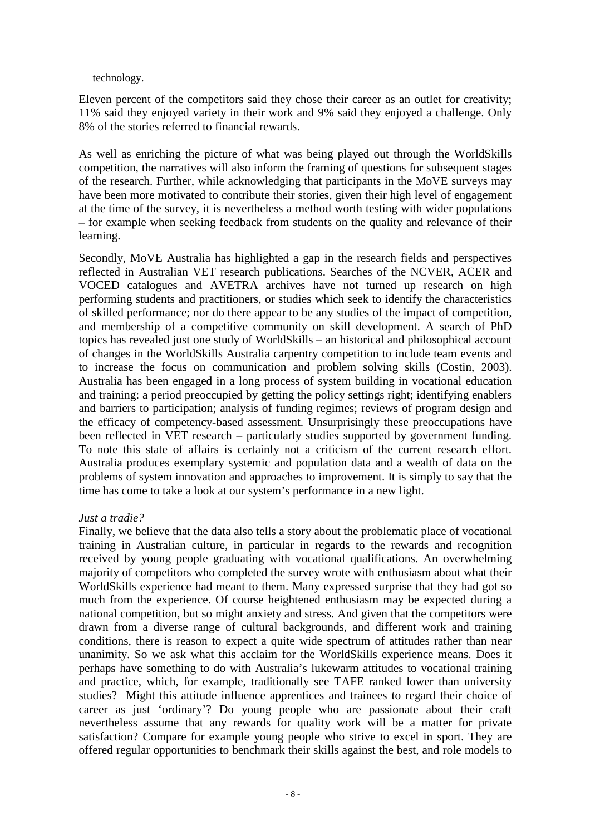#### technology.

Eleven percent of the competitors said they chose their career as an outlet for creativity; 11% said they enjoyed variety in their work and 9% said they enjoyed a challenge. Only 8% of the stories referred to financial rewards.

As well as enriching the picture of what was being played out through the WorldSkills competition, the narratives will also inform the framing of questions for subsequent stages of the research. Further, while acknowledging that participants in the MoVE surveys may have been more motivated to contribute their stories, given their high level of engagement at the time of the survey, it is nevertheless a method worth testing with wider populations – for example when seeking feedback from students on the quality and relevance of their learning.

Secondly, MoVE Australia has highlighted a gap in the research fields and perspectives reflected in Australian VET research publications. Searches of the NCVER, ACER and VOCED catalogues and AVETRA archives have not turned up research on high performing students and practitioners, or studies which seek to identify the characteristics of skilled performance; nor do there appear to be any studies of the impact of competition, and membership of a competitive community on skill development. A search of PhD topics has revealed just one study of WorldSkills – an historical and philosophical account of changes in the WorldSkills Australia carpentry competition to include team events and to increase the focus on communication and problem solving skills (Costin, 2003). Australia has been engaged in a long process of system building in vocational education and training: a period preoccupied by getting the policy settings right; identifying enablers and barriers to participation; analysis of funding regimes; reviews of program design and the efficacy of competency-based assessment. Unsurprisingly these preoccupations have been reflected in VET research – particularly studies supported by government funding. To note this state of affairs is certainly not a criticism of the current research effort. Australia produces exemplary systemic and population data and a wealth of data on the problems of system innovation and approaches to improvement. It is simply to say that the time has come to take a look at our system's performance in a new light.

### *Just a tradie?*

Finally, we believe that the data also tells a story about the problematic place of vocational training in Australian culture, in particular in regards to the rewards and recognition received by young people graduating with vocational qualifications. An overwhelming majority of competitors who completed the survey wrote with enthusiasm about what their WorldSkills experience had meant to them. Many expressed surprise that they had got so much from the experience. Of course heightened enthusiasm may be expected during a national competition, but so might anxiety and stress. And given that the competitors were drawn from a diverse range of cultural backgrounds, and different work and training conditions, there is reason to expect a quite wide spectrum of attitudes rather than near unanimity. So we ask what this acclaim for the WorldSkills experience means. Does it perhaps have something to do with Australia's lukewarm attitudes to vocational training and practice, which, for example, traditionally see TAFE ranked lower than university studies? Might this attitude influence apprentices and trainees to regard their choice of career as just 'ordinary'? Do young people who are passionate about their craft nevertheless assume that any rewards for quality work will be a matter for private satisfaction? Compare for example young people who strive to excel in sport. They are offered regular opportunities to benchmark their skills against the best, and role models to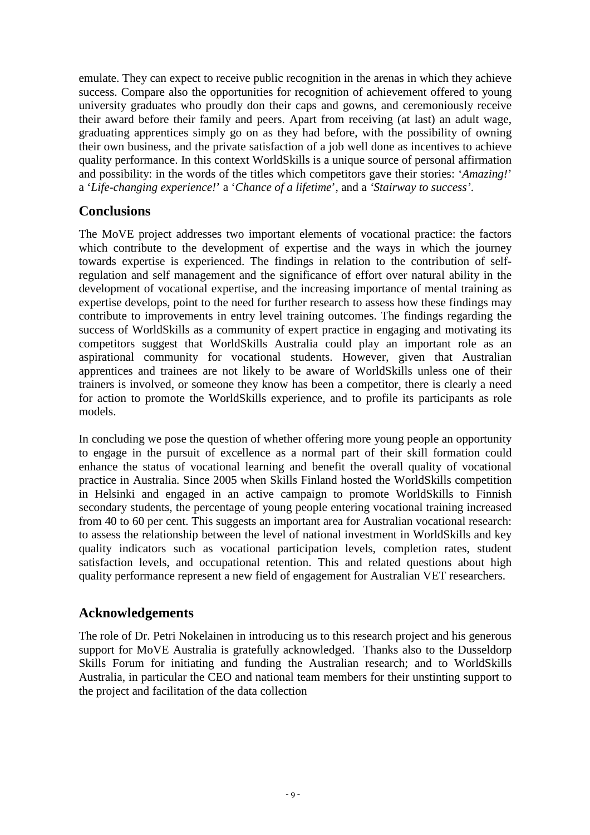emulate. They can expect to receive public recognition in the arenas in which they achieve success. Compare also the opportunities for recognition of achievement offered to young university graduates who proudly don their caps and gowns, and ceremoniously receive their award before their family and peers. Apart from receiving (at last) an adult wage, graduating apprentices simply go on as they had before, with the possibility of owning their own business, and the private satisfaction of a job well done as incentives to achieve quality performance. In this context WorldSkills is a unique source of personal affirmation and possibility: in the words of the titles which competitors gave their stories: '*Amazing!*' a '*Life-changing experience!*' a '*Chance of a lifetime*', and a *'Stairway to success'*.

# **Conclusions**

The MoVE project addresses two important elements of vocational practice: the factors which contribute to the development of expertise and the ways in which the journey towards expertise is experienced. The findings in relation to the contribution of selfregulation and self management and the significance of effort over natural ability in the development of vocational expertise, and the increasing importance of mental training as expertise develops, point to the need for further research to assess how these findings may contribute to improvements in entry level training outcomes. The findings regarding the success of WorldSkills as a community of expert practice in engaging and motivating its competitors suggest that WorldSkills Australia could play an important role as an aspirational community for vocational students. However, given that Australian apprentices and trainees are not likely to be aware of WorldSkills unless one of their trainers is involved, or someone they know has been a competitor, there is clearly a need for action to promote the WorldSkills experience, and to profile its participants as role models.

In concluding we pose the question of whether offering more young people an opportunity to engage in the pursuit of excellence as a normal part of their skill formation could enhance the status of vocational learning and benefit the overall quality of vocational practice in Australia. Since 2005 when Skills Finland hosted the WorldSkills competition in Helsinki and engaged in an active campaign to promote WorldSkills to Finnish secondary students, the percentage of young people entering vocational training increased from 40 to 60 per cent. This suggests an important area for Australian vocational research: to assess the relationship between the level of national investment in WorldSkills and key quality indicators such as vocational participation levels, completion rates, student satisfaction levels, and occupational retention. This and related questions about high quality performance represent a new field of engagement for Australian VET researchers.

# **Acknowledgements**

The role of Dr. Petri Nokelainen in introducing us to this research project and his generous support for MoVE Australia is gratefully acknowledged. Thanks also to the Dusseldorp Skills Forum for initiating and funding the Australian research; and to WorldSkills Australia, in particular the CEO and national team members for their unstinting support to the project and facilitation of the data collection